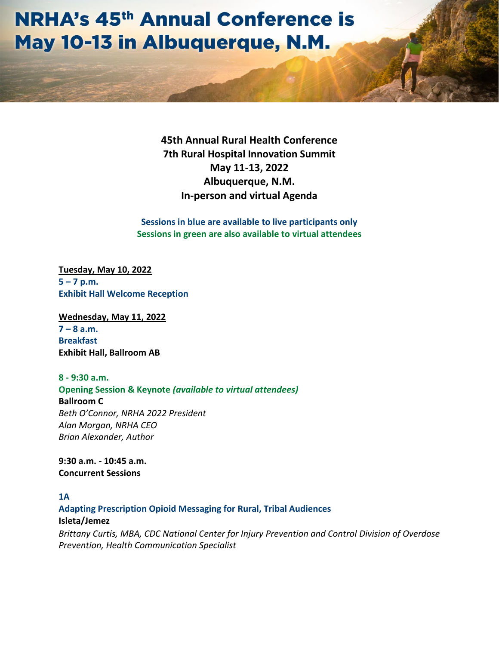# **NRHA's 45th Annual Conference is** May 10-13 in Albuquerque, N.M.

**45th Annual Rural Health Conference 7th Rural Hospital Innovation Summit May 11-13, 2022 Albuquerque, N.M. In-person and virtual Agenda**

**Sessions in blue are available to live participants only Sessions in green are also available to virtual attendees**

**Tuesday, May 10, 2022 5 – 7 p.m. Exhibit Hall Welcome Reception** 

**Wednesday, May 11, 2022**  $7 - 8$  a.m. **Breakfast Exhibit Hall, Ballroom AB**

**8 - 9:30 a.m. Opening Session & Keynote** *(available to virtual attendees)* **Ballroom C** *Beth O'Connor, NRHA 2022 President Alan Morgan, NRHA CEO Brian Alexander, Author* 

**9:30 a.m. - 10:45 a.m. Concurrent Sessions**

#### **1A**

**Adapting Prescription Opioid Messaging for Rural, Tribal Audiences Isleta/Jemez** *Brittany Curtis, MBA, CDC National Center for Injury Prevention and Control Division of Overdose Prevention, Health Communication Specialist*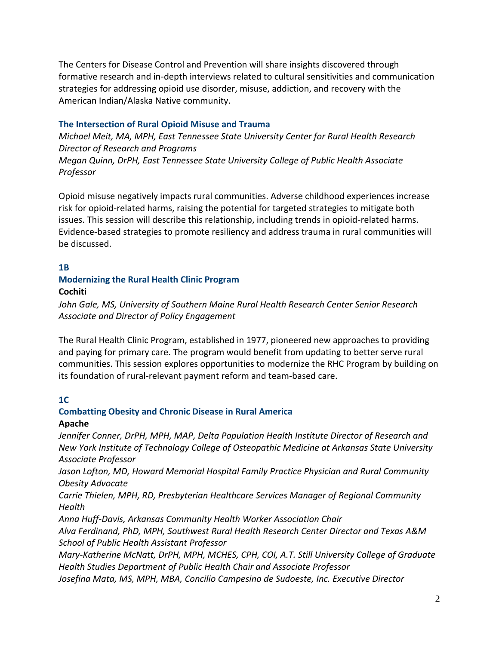The Centers for Disease Control and Prevention will share insights discovered through formative research and in-depth interviews related to cultural sensitivities and communication strategies for addressing opioid use disorder, misuse, addiction, and recovery with the American Indian/Alaska Native community.

#### **The Intersection of Rural Opioid Misuse and Trauma**

*Michael Meit, MA, MPH, East Tennessee State University Center for Rural Health Research Director of Research and Programs Megan Quinn, DrPH, East Tennessee State University College of Public Health Associate Professor*

Opioid misuse negatively impacts rural communities. Adverse childhood experiences increase risk for opioid-related harms, raising the potential for targeted strategies to mitigate both issues. This session will describe this relationship, including trends in opioid-related harms. Evidence-based strategies to promote resiliency and address trauma in rural communities will be discussed.

#### **1B**

#### **Modernizing the Rural Health Clinic Program Cochiti**

*John Gale, MS, University of Southern Maine Rural Health Research Center Senior Research Associate and Director of Policy Engagement* 

The Rural Health Clinic Program, established in 1977, pioneered new approaches to providing and paying for primary care. The program would benefit from updating to better serve rural communities. This session explores opportunities to modernize the RHC Program by building on its foundation of rural-relevant payment reform and team-based care.

#### **1C**

#### **Combatting Obesity and Chronic Disease in Rural America**

#### **Apache**

*Jennifer Conner, DrPH, MPH, MAP, Delta Population Health Institute Director of Research and New York Institute of Technology College of Osteopathic Medicine at Arkansas State University Associate Professor* 

*Jason Lofton, MD, Howard Memorial Hospital Family Practice Physician and Rural Community Obesity Advocate* 

*Carrie Thielen, MPH, RD, Presbyterian Healthcare Services Manager of Regional Community Health*

*Anna Huff-Davis, Arkansas Community Health Worker Association Chair* 

*Alva Ferdinand, PhD, MPH, Southwest Rural Health Research Center Director and Texas A&M School of Public Health Assistant Professor* 

*Mary-Katherine McNatt, DrPH, MPH, MCHES, CPH, COI, A.T. Still University College of Graduate Health Studies Department of Public Health Chair and Associate Professor*

*Josefina Mata, MS, MPH, MBA, Concilio Campesino de Sudoeste, Inc. Executive Director*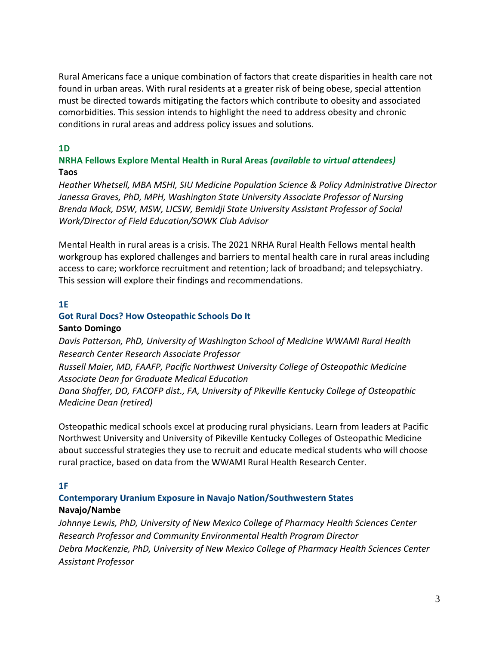Rural Americans face a unique combination of factors that create disparities in health care not found in urban areas. With rural residents at a greater risk of being obese, special attention must be directed towards mitigating the factors which contribute to obesity and associated comorbidities. This session intends to highlight the need to address obesity and chronic conditions in rural areas and address policy issues and solutions.

#### **1D**

#### **NRHA Fellows Explore Mental Health in Rural Areas** *(available to virtual attendees)* **Taos**

*Heather Whetsell, MBA MSHI, SIU Medicine Population Science & Policy Administrative Director Janessa Graves, PhD, MPH, Washington State University Associate Professor of Nursing Brenda Mack, DSW, MSW, LICSW, Bemidji State University Assistant Professor of Social Work/Director of Field Education/SOWK Club Advisor* 

Mental Health in rural areas is a crisis. The 2021 NRHA Rural Health Fellows mental health workgroup has explored challenges and barriers to mental health care in rural areas including access to care; workforce recruitment and retention; lack of broadband; and telepsychiatry. This session will explore their findings and recommendations.

#### **1E**

#### **Got Rural Docs? How Osteopathic Schools Do It Santo Domingo**

*Davis Patterson, PhD, University of Washington School of Medicine WWAMI Rural Health Research Center Research Associate Professor* 

*Russell Maier, MD, FAAFP, Pacific Northwest University College of Osteopathic Medicine Associate Dean for Graduate Medical Education*

*Dana Shaffer, DO, FACOFP dist., FA, University of Pikeville Kentucky College of Osteopathic Medicine Dean (retired)*

Osteopathic medical schools excel at producing rural physicians. Learn from leaders at Pacific Northwest University and University of Pikeville Kentucky Colleges of Osteopathic Medicine about successful strategies they use to recruit and educate medical students who will choose rural practice, based on data from the WWAMI Rural Health Research Center.

#### **1F**

#### **Contemporary Uranium Exposure in Navajo Nation/Southwestern States Navajo/Nambe**

*Johnnye Lewis, PhD, University of New Mexico College of Pharmacy Health Sciences Center Research Professor and Community Environmental Health Program Director Debra MacKenzie, PhD, University of New Mexico College of Pharmacy Health Sciences Center Assistant Professor*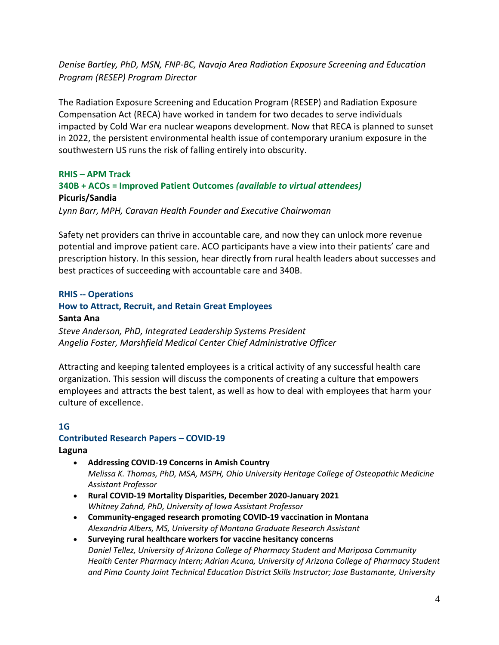*Denise Bartley, PhD, MSN, FNP-BC, Navajo Area Radiation Exposure Screening and Education Program (RESEP) Program Director* 

The Radiation Exposure Screening and Education Program (RESEP) and Radiation Exposure Compensation Act (RECA) have worked in tandem for two decades to serve individuals impacted by Cold War era nuclear weapons development. Now that RECA is planned to sunset in 2022, the persistent environmental health issue of contemporary uranium exposure in the southwestern US runs the risk of falling entirely into obscurity.

#### **RHIS – APM Track**

## **340B + ACOs = Improved Patient Outcomes** *(available to virtual attendees)* **Picuris/Sandia**

*Lynn Barr, MPH, Caravan Health Founder and Executive Chairwoman*

Safety net providers can thrive in accountable care, and now they can unlock more revenue potential and improve patient care. ACO participants have a view into their patients' care and prescription history. In this session, hear directly from rural health leaders about successes and best practices of succeeding with accountable care and 340B.

#### **RHIS -- Operations**

#### **How to Attract, Recruit, and Retain Great Employees**

#### **Santa Ana**

*Steve Anderson, PhD, Integrated Leadership Systems President Angelia Foster, Marshfield Medical Center Chief Administrative Officer*

Attracting and keeping talented employees is a critical activity of any successful health care organization. This session will discuss the components of creating a culture that empowers employees and attracts the best talent, as well as how to deal with employees that harm your culture of excellence.

#### **1G**

## **Contributed Research Papers – COVID-19**

**Laguna**

- **Addressing COVID-19 Concerns in Amish Country** *Melissa K. Thomas, PhD, MSA, MSPH, Ohio University Heritage College of Osteopathic Medicine Assistant Professor*
- **Rural COVID-19 Mortality Disparities, December 2020-January 2021** *Whitney Zahnd, PhD, University of Iowa Assistant Professor*
- **Community-engaged research promoting COVID-19 vaccination in Montana** *Alexandria Albers, MS, University of Montana Graduate Research Assistant*
- **Surveying rural healthcare workers for vaccine hesitancy concerns** *Daniel Tellez, University of Arizona College of Pharmacy Student and Mariposa Community Health Center Pharmacy Intern; Adrian Acuna, University of Arizona College of Pharmacy Student and Pima County Joint Technical Education District Skills Instructor; Jose Bustamante, University*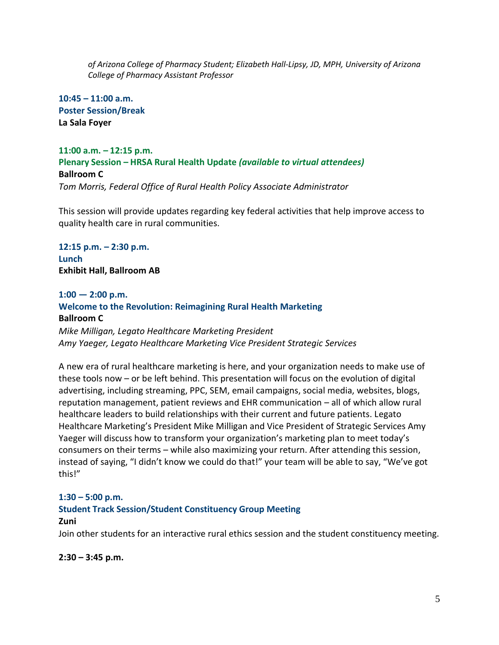*of Arizona College of Pharmacy Student; Elizabeth Hall-Lipsy, JD, MPH, University of Arizona College of Pharmacy Assistant Professor*

**10:45 – 11:00 a.m. Poster Session/Break La Sala Foyer**

#### **11:00 a.m. – 12:15 p.m. Plenary Session – HRSA Rural Health Update** *(available to virtual attendees)* **Ballroom C** *Tom Morris, Federal Office of Rural Health Policy Associate Administrator*

This session will provide updates regarding key federal activities that help improve access to quality health care in rural communities.

**12:15 p.m. – 2:30 p.m. Lunch Exhibit Hall, Ballroom AB**

#### **1:00 — 2:00 p.m.**

#### **Welcome to the Revolution: Reimagining Rural Health Marketing Ballroom C** *Mike Milligan, Legato Healthcare Marketing President Amy Yaeger, Legato Healthcare Marketing Vice President Strategic Services*

A new era of rural healthcare marketing is here, and your organization needs to make use of these tools now – or be left behind. This presentation will focus on the evolution of digital advertising, including streaming, PPC, SEM, email campaigns, social media, websites, blogs, reputation management, patient reviews and EHR communication – all of which allow rural healthcare leaders to build relationships with their current and future patients. Legato Healthcare Marketing's President Mike Milligan and Vice President of Strategic Services Amy Yaeger will discuss how to transform your organization's marketing plan to meet today's consumers on their terms – while also maximizing your return. After attending this session, instead of saying, "I didn't know we could do that!" your team will be able to say, "We've got this!"

#### **1:30 – 5:00 p.m.**

#### **Student Track Session/Student Constituency Group Meeting Zuni**

Join other students for an interactive rural ethics session and the student constituency meeting.

#### **2:30 – 3:45 p.m.**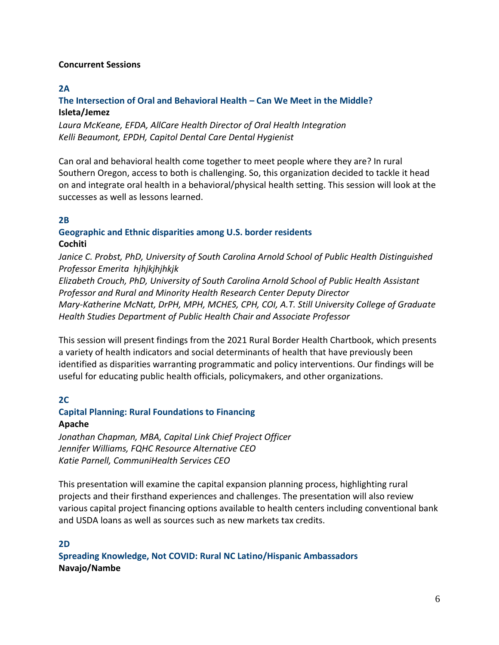#### **Concurrent Sessions**

#### **2A**

#### **The Intersection of Oral and Behavioral Health – Can We Meet in the Middle? Isleta/Jemez**

*Laura McKeane, EFDA, AllCare Health Director of Oral Health Integration Kelli Beaumont, EPDH, Capitol Dental Care Dental Hygienist*

Can oral and behavioral health come together to meet people where they are? In rural Southern Oregon, access to both is challenging. So, this organization decided to tackle it head on and integrate oral health in a behavioral/physical health setting. This session will look at the successes as well as lessons learned.

#### **2B**

#### **Geographic and Ethnic disparities among U.S. border residents Cochiti**

*Janice C. Probst, PhD, University of South Carolina Arnold School of Public Health Distinguished Professor Emerita hjhjkjhjhkjk*

*Elizabeth Crouch, PhD, University of South Carolina Arnold School of Public Health Assistant Professor and Rural and Minority Health Research Center Deputy Director Mary-Katherine McNatt, DrPH, MPH, MCHES, CPH, COI, A.T. Still University College of Graduate Health Studies Department of Public Health Chair and Associate Professor*

This session will present findings from the 2021 Rural Border Health Chartbook, which presents a variety of health indicators and social determinants of health that have previously been identified as disparities warranting programmatic and policy interventions. Our findings will be useful for educating public health officials, policymakers, and other organizations.

#### **2C**

## **Capital Planning: Rural Foundations to Financing**

#### **Apache**

*Jonathan Chapman, MBA, Capital Link Chief Project Officer Jennifer Williams, FQHC Resource Alternative CEO Katie Parnell, CommuniHealth Services CEO*

This presentation will examine the capital expansion planning process, highlighting rural projects and their firsthand experiences and challenges. The presentation will also review various capital project financing options available to health centers including conventional bank and USDA loans as well as sources such as new markets tax credits.

#### **2D**

**Spreading Knowledge, Not COVID: Rural NC Latino/Hispanic Ambassadors Navajo/Nambe**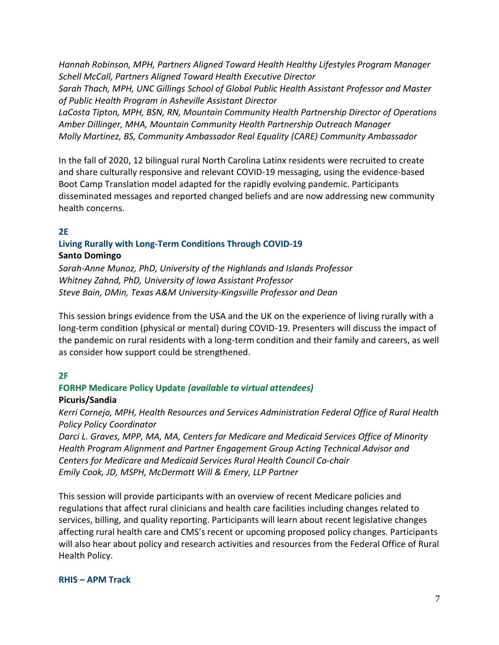*Hannah Robinson, MPH, Partners Aligned Toward Health Healthy Lifestyles Program Manager Schell McCall, Partners Aligned Toward Health Executive Director Sarah Thach, MPH, UNC Gillings School of Global Public Health Assistant Professor and Master of Public Health Program in Asheville Assistant Director LaCosta Tipton, MPH, BSN, RN, Mountain Community Health Partnership Director of Operations Amber Dillinger, MHA, Mountain Community Health Partnership Outreach Manager Molly Martinez, BS, Community Ambassador Real Equality (CARE) Community Ambassador* 

In the fall of 2020, 12 bilingual rural North Carolina Latinx residents were recruited to create and share culturally responsive and relevant COVID-19 messaging, using the evidence-based Boot Camp Translation model adapted for the rapidly evolving pandemic. Participants disseminated messages and reported changed beliefs and are now addressing new community health concerns.

#### **2E**

#### **Living Rurally with Long-Term Conditions Through COVID-19 Santo Domingo**

*Sarah-Anne Munoz, PhD, University of the Highlands and Islands Professor Whitney Zahnd, PhD, University of Iowa Assistant Professor Steve Bain, DMin, Texas A&M University-Kingsville Professor and Dean* 

This session brings evidence from the USA and the UK on the experience of living rurally with a long-term condition (physical or mental) during COVID-19. Presenters will discuss the impact of the pandemic on rural residents with a long-term condition and their family and careers, as well as consider how support could be strengthened.

#### **2F**

## **FORHP Medicare Policy Update** *(available to virtual attendees)*

#### **Picuris/Sandia**

*Kerri Cornejo, MPH, Health Resources and Services Administration Federal Office of Rural Health Policy Policy Coordinator* 

*Darci L. Graves, MPP, MA, MA, Centers for Medicare and Medicaid Services Office of Minority Health Program Alignment and Partner Engagement Group Acting Technical Advisor and Centers for Medicare and Medicaid Services Rural Health Council Co-chair Emily Cook, JD, MSPH, McDermott Will & Emery, LLP Partner*

This session will provide participants with an overview of recent Medicare policies and regulations that affect rural clinicians and health care facilities including changes related to services, billing, and quality reporting. Participants will learn about recent legislative changes affecting rural health care and CMS's recent or upcoming proposed policy changes. Participants will also hear about policy and research activities and resources from the Federal Office of Rural Health Policy.

#### **RHIS – APM Track**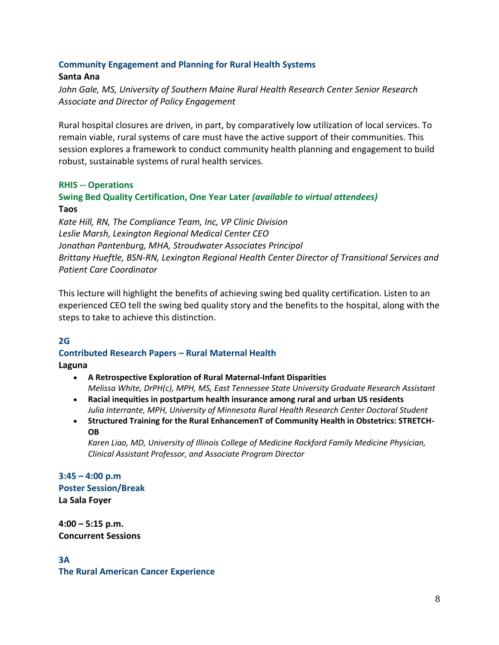#### **Community Engagement and Planning for Rural Health Systems**

#### **Santa Ana**

*John Gale, MS, University of Southern Maine Rural Health Research Center Senior Research Associate and Director of Policy Engagement*

Rural hospital closures are driven, in part, by comparatively low utilization of local services. To remain viable, rural systems of care must have the active support of their communities. This session explores a framework to conduct community health planning and engagement to build robust, sustainable systems of rural health services.

#### **RHIS -- Operations**

#### **Swing Bed Quality Certification, One Year Later** *(available to virtual attendees)* **Taos**

*Kate Hill, RN, The Compliance Team, Inc, VP Clinic Division Leslie Marsh, Lexington Regional Medical Center CEO Jonathan Pantenburg, MHA, Stroudwater Associates Principal Brittany Hueftle, BSN-RN, Lexington Regional Health Center Director of Transitional Services and Patient Care Coordinator* 

This lecture will highlight the benefits of achieving swing bed quality certification. Listen to an experienced CEO tell the swing bed quality story and the benefits to the hospital, along with the steps to take to achieve this distinction.

#### **2G**

#### **Contributed Research Papers – Rural Maternal Health**

**Laguna**

- **A Retrospective Exploration of Rural Maternal-Infant Disparities**  *Melissa White, DrPH(c), MPH, MS, East Tennessee State University Graduate Research Assistant*
- **Racial inequities in postpartum health insurance among rural and urban US residents** *Julia Interrante, MPH, University of Minnesota Rural Health Research Center Doctoral Student*
- **Structured Training for the Rural EnhancemenT of Community Health in Obstetrics: STRETCH-OB**

*Karen Liao, MD, University of Illinois College of Medicine Rockford Family Medicine Physician, Clinical Assistant Professor, and Associate Program Director* 

**3:45 – 4:00 p.m Poster Session/Break La Sala Foyer** 

**4:00 – 5:15 p.m. Concurrent Sessions**

**3A The Rural American Cancer Experience**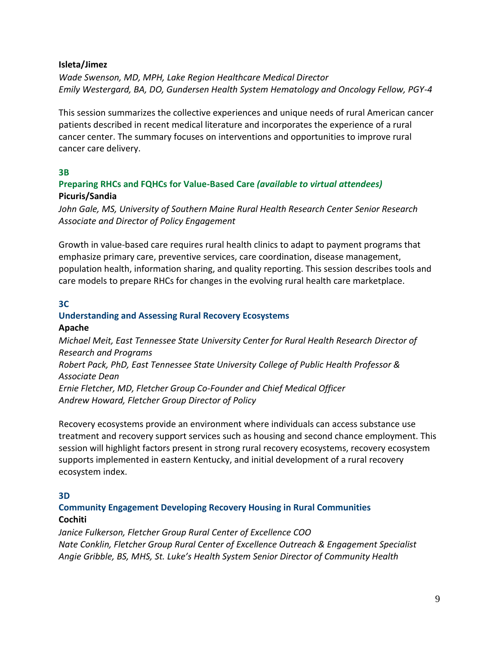#### **Isleta/Jimez**

*Wade Swenson, MD, MPH, Lake Region Healthcare Medical Director Emily Westergard, BA, DO, Gundersen Health System Hematology and Oncology Fellow, PGY-4*

This session summarizes the collective experiences and unique needs of rural American cancer patients described in recent medical literature and incorporates the experience of a rural cancer center. The summary focuses on interventions and opportunities to improve rural cancer care delivery.

#### **3B**

#### **Preparing RHCs and FQHCs for Value-Based Care** *(available to virtual attendees)* **Picuris/Sandia**

*John Gale, MS, University of Southern Maine Rural Health Research Center Senior Research Associate and Director of Policy Engagement*

Growth in value-based care requires rural health clinics to adapt to payment programs that emphasize primary care, preventive services, care coordination, disease management, population health, information sharing, and quality reporting. This session describes tools and care models to prepare RHCs for changes in the evolving rural health care marketplace.

#### **3C**

## **Understanding and Assessing Rural Recovery Ecosystems**

#### **Apache**

*Michael Meit, East Tennessee State University Center for Rural Health Research Director of Research and Programs Robert Pack, PhD, East Tennessee State University College of Public Health Professor & Associate Dean Ernie Fletcher, MD, Fletcher Group Co-Founder and Chief Medical Officer Andrew Howard, Fletcher Group Director of Policy*

Recovery ecosystems provide an environment where individuals can access substance use treatment and recovery support services such as housing and second chance employment. This session will highlight factors present in strong rural recovery ecosystems, recovery ecosystem supports implemented in eastern Kentucky, and initial development of a rural recovery ecosystem index.

#### **3D**

#### **Community Engagement Developing Recovery Housing in Rural Communities Cochiti**

*Janice Fulkerson, Fletcher Group Rural Center of Excellence COO Nate Conklin, Fletcher Group Rural Center of Excellence Outreach & Engagement Specialist Angie Gribble, BS, MHS, St. Luke's Health System Senior Director of Community Health*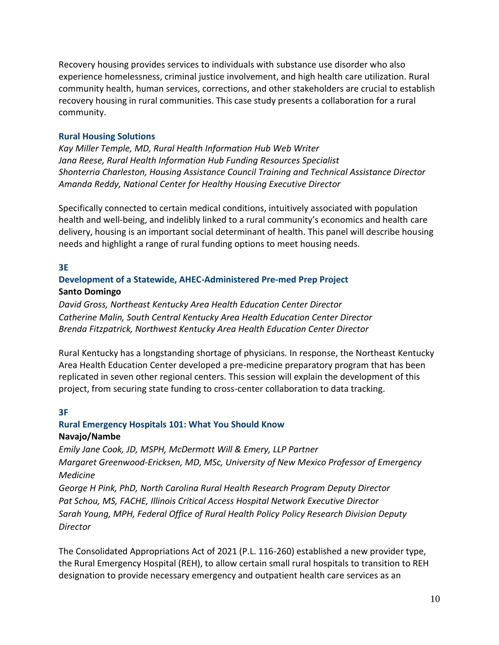Recovery housing provides services to individuals with substance use disorder who also experience homelessness, criminal justice involvement, and high health care utilization. Rural community health, human services, corrections, and other stakeholders are crucial to establish recovery housing in rural communities. This case study presents a collaboration for a rural community.

#### **Rural Housing Solutions**

*Kay Miller Temple, MD, Rural Health Information Hub Web Writer Jana Reese, Rural Health Information Hub Funding Resources Specialist Shonterria Charleston, Housing Assistance Council Training and Technical Assistance Director Amanda Reddy, National Center for Healthy Housing Executive Director*

Specifically connected to certain medical conditions, intuitively associated with population health and well-being, and indelibly linked to a rural community's economics and health care delivery, housing is an important social determinant of health. This panel will describe housing needs and highlight a range of rural funding options to meet housing needs.

#### **3E**

#### **Development of a Statewide, AHEC-Administered Pre-med Prep Project Santo Domingo**

*David Gross, Northeast Kentucky Area Health Education Center Director Catherine Malin, South Central Kentucky Area Health Education Center Director Brenda Fitzpatrick, Northwest Kentucky Area Health Education Center Director*

Rural Kentucky has a longstanding shortage of physicians. In response, the Northeast Kentucky Area Health Education Center developed a pre-medicine preparatory program that has been replicated in seven other regional centers. This session will explain the development of this project, from securing state funding to cross-center collaboration to data tracking.

#### **3F**

#### **Rural Emergency Hospitals 101: What You Should Know Navajo/Nambe**

*Emily Jane Cook, JD, MSPH, McDermott Will & Emery, LLP Partner Margaret Greenwood-Ericksen, MD, MSc, University of New Mexico Professor of Emergency Medicine* 

*George H Pink, PhD, North Carolina Rural Health Research Program Deputy Director Pat Schou, MS, FACHE, Illinois Critical Access Hospital Network Executive Director Sarah Young, MPH, Federal Office of Rural Health Policy Policy Research Division Deputy Director*

The Consolidated Appropriations Act of 2021 (P.L. 116-260) established a new provider type, the Rural Emergency Hospital (REH), to allow certain small rural hospitals to transition to REH designation to provide necessary emergency and outpatient health care services as an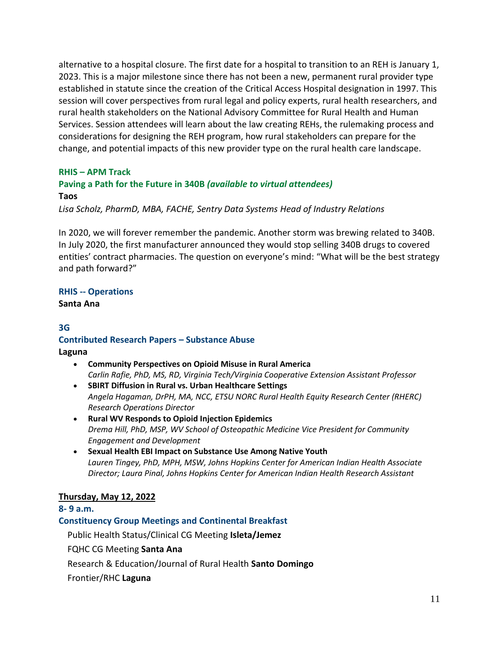alternative to a hospital closure. The first date for a hospital to transition to an REH is January 1, 2023. This is a major milestone since there has not been a new, permanent rural provider type established in statute since the creation of the Critical Access Hospital designation in 1997. This session will cover perspectives from rural legal and policy experts, rural health researchers, and rural health stakeholders on the National Advisory Committee for Rural Health and Human Services. Session attendees will learn about the law creating REHs, the rulemaking process and considerations for designing the REH program, how rural stakeholders can prepare for the change, and potential impacts of this new provider type on the rural health care landscape.

#### **RHIS – APM Track**

#### **Paving a Path for the Future in 340B** *(available to virtual attendees)* **Taos**

*Lisa Scholz, PharmD, MBA, FACHE, Sentry Data Systems Head of Industry Relations*

In 2020, we will forever remember the pandemic. Another storm was brewing related to 340B. In July 2020, the first manufacturer announced they would stop selling 340B drugs to covered entities' contract pharmacies. The question on everyone's mind: "What will be the best strategy and path forward?"

## **RHIS -- Operations**

**Santa Ana**

#### **3G Contributed Research Papers – Substance Abuse Laguna**

- **Community Perspectives on Opioid Misuse in Rural America**  *Carlin Rafie, PhD, MS, RD, Virginia Tech/Virginia Cooperative Extension Assistant Professor*
- **SBIRT Diffusion in Rural vs. Urban Healthcare Settings** *Angela Hagaman, DrPH, MA, NCC, ETSU NORC Rural Health Equity Research Center (RHERC) Research Operations Director*
- **Rural WV Responds to Opioid Injection Epidemics** *Drema Hill, PhD, MSP, WV School of Osteopathic Medicine Vice President for Community Engagement and Development*
- **Sexual Health EBI Impact on Substance Use Among Native Youth**  *Lauren Tingey, PhD, MPH, MSW, Johns Hopkins Center for American Indian Health Associate Director; Laura Pinal, Johns Hopkins Center for American Indian Health Research Assistant*

#### **Thursday, May 12, 2022**

#### **8- 9 a.m.**

**Constituency Group Meetings and Continental Breakfast**

Public Health Status/Clinical CG Meeting **Isleta/Jemez**

FQHC CG Meeting **Santa Ana**

Research & Education/Journal of Rural Health **Santo Domingo**

Frontier/RHC **Laguna**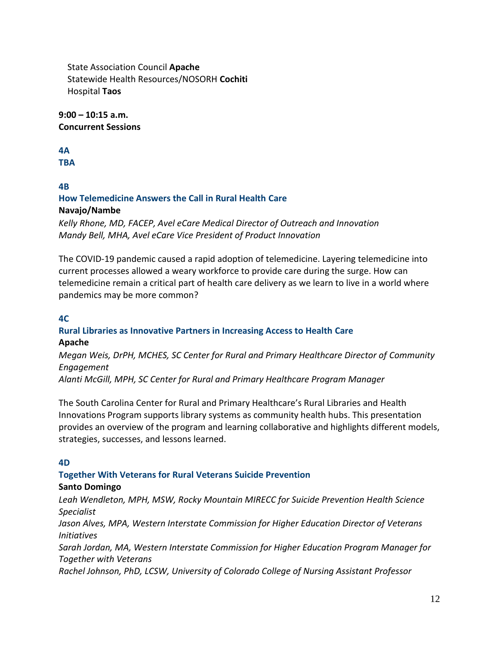State Association Council **Apache** Statewide Health Resources/NOSORH **Cochiti** Hospital **Taos**

**9:00 – 10:15 a.m. Concurrent Sessions** 

#### **4A**

**TBA**

## **4B**

#### **How Telemedicine Answers the Call in Rural Health Care Navajo/Nambe**

*Kelly Rhone, MD, FACEP, Avel eCare Medical Director of Outreach and Innovation Mandy Bell, MHA, Avel eCare Vice President of Product Innovation*

The COVID-19 pandemic caused a rapid adoption of telemedicine. Layering telemedicine into current processes allowed a weary workforce to provide care during the surge. How can telemedicine remain a critical part of health care delivery as we learn to live in a world where pandemics may be more common?

#### **4C**

## **Rural Libraries as Innovative Partners in Increasing Access to Health Care**

#### **Apache**

*Megan Weis, DrPH, MCHES, SC Center for Rural and Primary Healthcare Director of Community Engagement*

*Alanti McGill, MPH, SC Center for Rural and Primary Healthcare Program Manager*

The South Carolina Center for Rural and Primary Healthcare's Rural Libraries and Health Innovations Program supports library systems as community health hubs. This presentation provides an overview of the program and learning collaborative and highlights different models, strategies, successes, and lessons learned.

#### **4D**

## **Together With Veterans for Rural Veterans Suicide Prevention**

#### **Santo Domingo**

*Leah Wendleton, MPH, MSW, Rocky Mountain MIRECC for Suicide Prevention Health Science Specialist Jason Alves, MPA, Western Interstate Commission for Higher Education Director of Veterans Initiatives Sarah Jordan, MA, Western Interstate Commission for Higher Education Program Manager for Together with Veterans Rachel Johnson, PhD, LCSW, University of Colorado College of Nursing Assistant Professor*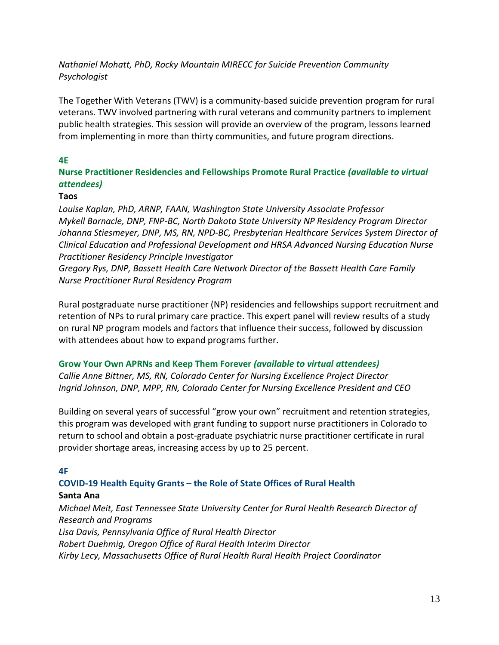#### *Nathaniel Mohatt, PhD, Rocky Mountain MIRECC for Suicide Prevention Community Psychologist*

The Together With Veterans (TWV) is a community-based suicide prevention program for rural veterans. TWV involved partnering with rural veterans and community partners to implement public health strategies. This session will provide an overview of the program, lessons learned from implementing in more than thirty communities, and future program directions.

#### **4E**

**Nurse Practitioner Residencies and Fellowships Promote Rural Practice** *(available to virtual attendees)*

#### **Taos**

*Louise Kaplan, PhD, ARNP, FAAN, Washington State University Associate Professor Mykell Barnacle, DNP, FNP-BC, North Dakota State University NP Residency Program Director Johanna Stiesmeyer, DNP, MS, RN, NPD-BC, Presbyterian Healthcare Services System Director of Clinical Education and Professional Development and HRSA Advanced Nursing Education Nurse Practitioner Residency Principle Investigator* 

*Gregory Rys, DNP, Bassett Health Care Network Director of the Bassett Health Care Family Nurse Practitioner Rural Residency Program*

Rural postgraduate nurse practitioner (NP) residencies and fellowships support recruitment and retention of NPs to rural primary care practice. This expert panel will review results of a study on rural NP program models and factors that influence their success, followed by discussion with attendees about how to expand programs further.

#### **Grow Your Own APRNs and Keep Them Forever** *(available to virtual attendees)*

*Callie Anne Bittner, MS, RN, Colorado Center for Nursing Excellence Project Director Ingrid Johnson, DNP, MPP, RN, Colorado Center for Nursing Excellence President and CEO*

Building on several years of successful "grow your own" recruitment and retention strategies, this program was developed with grant funding to support nurse practitioners in Colorado to return to school and obtain a post-graduate psychiatric nurse practitioner certificate in rural provider shortage areas, increasing access by up to 25 percent.

#### **4F**

## **COVID-19 Health Equity Grants – the Role of State Offices of Rural Health**

#### **Santa Ana**

*Michael Meit, East Tennessee State University Center for Rural Health Research Director of Research and Programs Lisa Davis, Pennsylvania Office of Rural Health Director Robert Duehmig, Oregon Office of Rural Health Interim Director*

*Kirby Lecy, Massachusetts Office of Rural Health Rural Health Project Coordinator*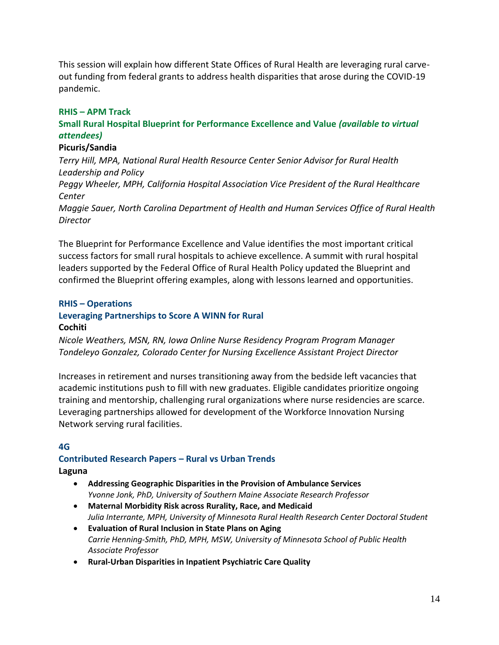This session will explain how different State Offices of Rural Health are leveraging rural carveout funding from federal grants to address health disparities that arose during the COVID-19 pandemic.

#### **RHIS – APM Track**

#### **Small Rural Hospital Blueprint for Performance Excellence and Value** *(available to virtual attendees)*

#### **Picuris/Sandia**

*Terry Hill, MPA, National Rural Health Resource Center Senior Advisor for Rural Health Leadership and Policy*

*Peggy Wheeler, MPH, California Hospital Association Vice President of the Rural Healthcare Center*

*Maggie Sauer, North Carolina Department of Health and Human Services Office of Rural Health Director* 

The Blueprint for Performance Excellence and Value identifies the most important critical success factors for small rural hospitals to achieve excellence. A summit with rural hospital leaders supported by the Federal Office of Rural Health Policy updated the Blueprint and confirmed the Blueprint offering examples, along with lessons learned and opportunities.

#### **RHIS – Operations**

#### **Leveraging Partnerships to Score A WINN for Rural Cochiti**

*Nicole Weathers, MSN, RN, Iowa Online Nurse Residency Program Program Manager Tondeleyo Gonzalez, Colorado Center for Nursing Excellence Assistant Project Director*

Increases in retirement and nurses transitioning away from the bedside left vacancies that academic institutions push to fill with new graduates. Eligible candidates prioritize ongoing training and mentorship, challenging rural organizations where nurse residencies are scarce. Leveraging partnerships allowed for development of the Workforce Innovation Nursing Network serving rural facilities.

#### **4G**

#### **Contributed Research Papers – Rural vs Urban Trends Laguna**

- **Addressing Geographic Disparities in the Provision of Ambulance Services**  *Yvonne Jonk, PhD, University of Southern Maine Associate Research Professor*
- **Maternal Morbidity Risk across Rurality, Race, and Medicaid**  *Julia Interrante, MPH, University of Minnesota Rural Health Research Center Doctoral Student*
- **Evaluation of Rural Inclusion in State Plans on Aging**  *Carrie Henning-Smith, PhD, MPH, MSW, University of Minnesota School of Public Health Associate Professor*
- **Rural-Urban Disparities in Inpatient Psychiatric Care Quality**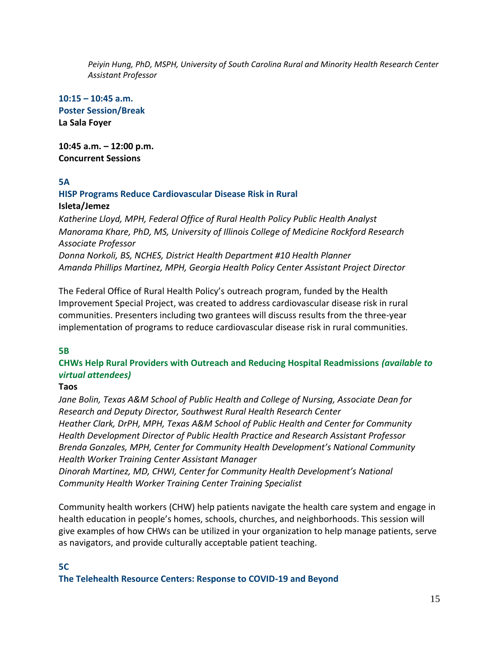*Peiyin Hung, PhD, MSPH, University of South Carolina Rural and Minority Health Research Center Assistant Professor*

**10:15 – 10:45 a.m. Poster Session/Break La Sala Foyer** 

**10:45 a.m. – 12:00 p.m. Concurrent Sessions** 

#### **5A**

#### **HISP Programs Reduce Cardiovascular Disease Risk in Rural Isleta/Jemez**

*Katherine Lloyd, MPH, Federal Office of Rural Health Policy Public Health Analyst Manorama Khare, PhD, MS, University of Illinois College of Medicine Rockford Research Associate Professor Donna Norkoli, BS, NCHES, District Health Department #10 Health Planner Amanda Phillips Martinez, MPH, Georgia Health Policy Center Assistant Project Director*

The Federal Office of Rural Health Policy's outreach program, funded by the Health Improvement Special Project, was created to address cardiovascular disease risk in rural communities. Presenters including two grantees will discuss results from the three-year implementation of programs to reduce cardiovascular disease risk in rural communities.

#### **5B**

#### **CHWs Help Rural Providers with Outreach and Reducing Hospital Readmissions** *(available to virtual attendees)*

#### **Taos**

*Jane Bolin, Texas A&M School of Public Health and College of Nursing, Associate Dean for Research and Deputy Director, Southwest Rural Health Research Center Heather Clark, DrPH, MPH, Texas A&M School of Public Health and Center for Community Health Development Director of Public Health Practice and Research Assistant Professor Brenda Gonzales, MPH, Center for Community Health Development's National Community Health Worker Training Center Assistant Manager* 

*Dinorah Martinez, MD, CHWI, Center for Community Health Development's National Community Health Worker Training Center Training Specialist*

Community health workers (CHW) help patients navigate the health care system and engage in health education in people's homes, schools, churches, and neighborhoods. This session will give examples of how CHWs can be utilized in your organization to help manage patients, serve as navigators, and provide culturally acceptable patient teaching.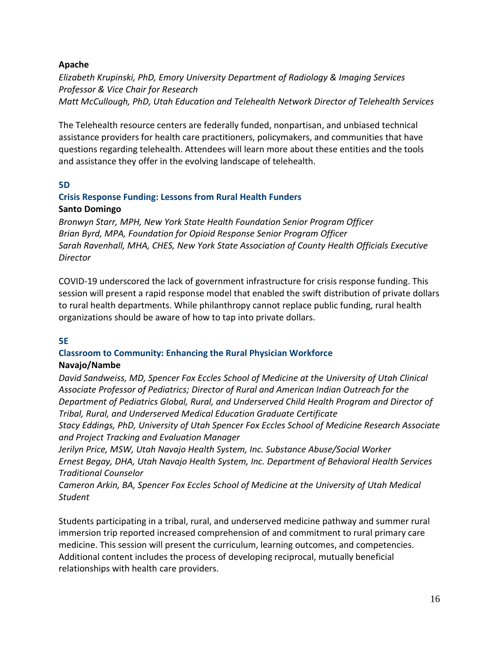#### **Apache**

*Elizabeth Krupinski, PhD, Emory University Department of Radiology & Imaging Services Professor & Vice Chair for Research Matt McCullough, PhD, Utah Education and Telehealth Network Director of Telehealth Services*

The Telehealth resource centers are federally funded, nonpartisan, and unbiased technical assistance providers for health care practitioners, policymakers, and communities that have questions regarding telehealth. Attendees will learn more about these entities and the tools and assistance they offer in the evolving landscape of telehealth.

#### **5D**

#### **Crisis Response Funding: Lessons from Rural Health Funders Santo Domingo**

*Bronwyn Starr, MPH, New York State Health Foundation Senior Program Officer Brian Byrd, MPA, Foundation for Opioid Response Senior Program Officer Sarah Ravenhall, MHA, CHES, New York State Association of County Health Officials Executive Director*

COVID-19 underscored the lack of government infrastructure for crisis response funding. This session will present a rapid response model that enabled the swift distribution of private dollars to rural health departments. While philanthropy cannot replace public funding, rural health organizations should be aware of how to tap into private dollars.

#### **5E**

## **Classroom to Community: Enhancing the Rural Physician Workforce**

#### **Navajo/Nambe**

*David Sandweiss, MD, Spencer Fox Eccles School of Medicine at the University of Utah Clinical Associate Professor of Pediatrics; Director of Rural and American Indian Outreach for the Department of Pediatrics Global, Rural, and Underserved Child Health Program and Director of Tribal, Rural, and Underserved Medical Education Graduate Certificate*

*Stacy Eddings, PhD, University of Utah Spencer Fox Eccles School of Medicine Research Associate and Project Tracking and Evaluation Manager* 

*Jerilyn Price, MSW, Utah Navajo Health System, Inc. Substance Abuse/Social Worker Ernest Begay, DHA, Utah Navajo Health System, Inc. Department of Behavioral Health Services Traditional Counselor*

*Cameron Arkin, BA, Spencer Fox Eccles School of Medicine at the University of Utah Medical Student*

Students participating in a tribal, rural, and underserved medicine pathway and summer rural immersion trip reported increased comprehension of and commitment to rural primary care medicine. This session will present the curriculum, learning outcomes, and competencies. Additional content includes the process of developing reciprocal, mutually beneficial relationships with health care providers.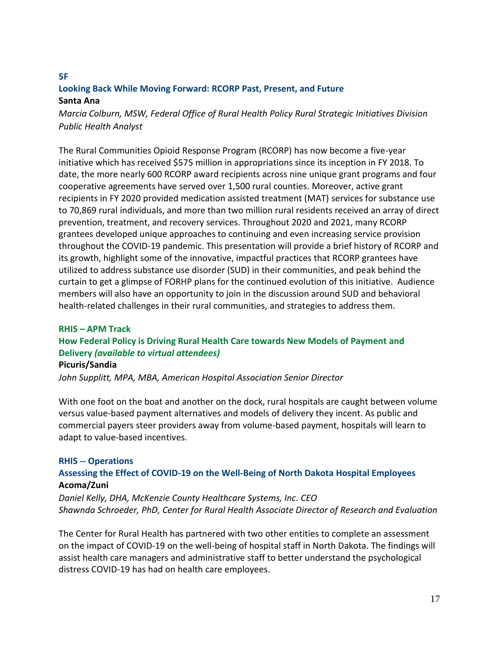#### **5F Looking Back While Moving Forward: RCORP Past, Present, and Future Santa Ana**

*Marcia Colburn, MSW, Federal Office of Rural Health Policy Rural Strategic Initiatives Division Public Health Analyst*

The Rural Communities Opioid Response Program (RCORP) has now become a five-year initiative which has received \$575 million in appropriations since its inception in FY 2018. To date, the more nearly 600 RCORP award recipients across nine unique grant programs and four cooperative agreements have served over 1,500 rural counties. Moreover, active grant recipients in FY 2020 provided medication assisted treatment (MAT) services for substance use to 70,869 rural individuals, and more than two million rural residents received an array of direct prevention, treatment, and recovery services. Throughout 2020 and 2021, many RCORP grantees developed unique approaches to continuing and even increasing service provision throughout the COVID-19 pandemic. This presentation will provide a brief history of RCORP and its growth, highlight some of the innovative, impactful practices that RCORP grantees have utilized to address substance use disorder (SUD) in their communities, and peak behind the curtain to get a glimpse of FORHP plans for the continued evolution of this initiative. Audience members will also have an opportunity to join in the discussion around SUD and behavioral health-related challenges in their rural communities, and strategies to address them.

## **RHIS – APM Track How Federal Policy is Driving Rural Health Care towards New Models of Payment and Delivery** *(available to virtual attendees)* **Picuris/Sandia**

*John Supplitt, MPA, MBA, American Hospital Association Senior Director* 

With one foot on the boat and another on the dock, rural hospitals are caught between volume versus value-based payment alternatives and models of delivery they incent. As public and commercial payers steer providers away from volume-based payment, hospitals will learn to adapt to value-based incentives.

#### **RHIS -- Operations Assessing the Effect of COVID-19 on the Well-Being of North Dakota Hospital Employees Acoma/Zuni**

*Daniel Kelly, DHA, McKenzie County Healthcare Systems, Inc. CEO Shawnda Schroeder, PhD, Center for Rural Health Associate Director of Research and Evaluation*

The Center for Rural Health has partnered with two other entities to complete an assessment on the impact of COVID-19 on the well-being of hospital staff in North Dakota. The findings will assist health care managers and administrative staff to better understand the psychological distress COVID-19 has had on health care employees.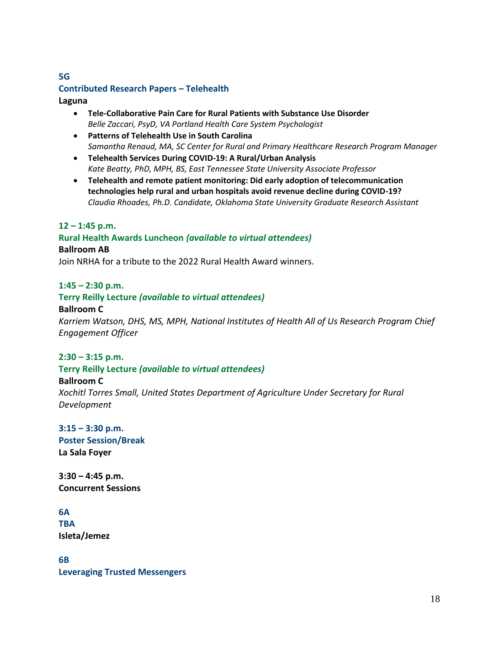#### **5G Contributed Research Papers – Telehealth**

#### **Laguna**

- **Tele-Collaborative Pain Care for Rural Patients with Substance Use Disorder**  *Belle Zaccari, PsyD, VA Portland Health Care System Psychologist*
- **Patterns of Telehealth Use in South Carolina**  *Samantha Renaud, MA, SC Center for Rural and Primary Healthcare Research Program Manager*
- **Telehealth Services During COVID-19: A Rural/Urban Analysis**  *Kate Beatty, PhD, MPH, BS, East Tennessee State University Associate Professor*
- **Telehealth and remote patient monitoring: Did early adoption of telecommunication technologies help rural and urban hospitals avoid revenue decline during COVID-19?** *Claudia Rhoades, Ph.D. Candidate, Oklahoma State University Graduate Research Assistant*

#### **12 – 1:45 p.m.**

## **Rural Health Awards Luncheon** *(available to virtual attendees)* **Ballroom AB**

Join NRHA for a tribute to the 2022 Rural Health Award winners.

#### **1:45 – 2:30 p.m.**

#### **Terry Reilly Lecture** *(available to virtual attendees)*

#### **Ballroom C**

*Karriem Watson, DHS, MS, MPH, National Institutes of Health All of Us Research Program Chief Engagement Officer* 

#### **2:30 – 3:15 p.m.**

#### **Terry Reilly Lecture** *(available to virtual attendees)*

#### **Ballroom C**

*Xochitl Torres Small, United States Department of Agriculture Under Secretary for Rural Development* 

#### **3:15 – 3:30 p.m.**

**Poster Session/Break La Sala Foyer** 

**3:30 – 4:45 p.m. Concurrent Sessions** 

#### **6A**

**TBA Isleta/Jemez**

**6B Leveraging Trusted Messengers**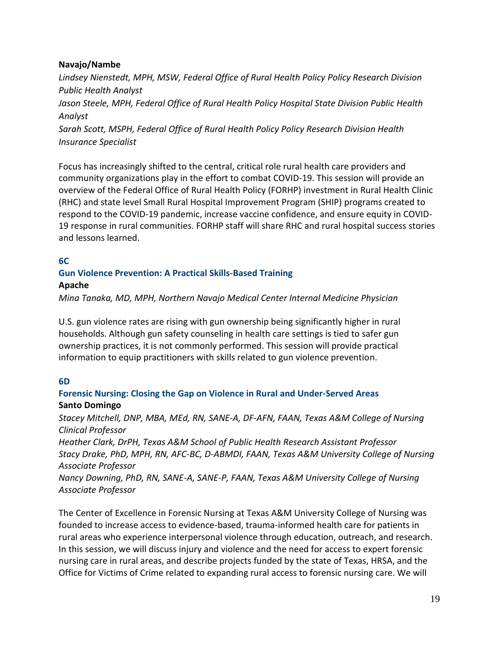#### **Navajo/Nambe**

*Lindsey Nienstedt, MPH, MSW, Federal Office of Rural Health Policy Policy Research Division Public Health Analyst Jason Steele, MPH, Federal Office of Rural Health Policy Hospital State Division Public Health Analyst Sarah Scott, MSPH, Federal Office of Rural Health Policy Policy Research Division Health Insurance Specialist* 

Focus has increasingly shifted to the central, critical role rural health care providers and community organizations play in the effort to combat COVID-19. This session will provide an overview of the Federal Office of Rural Health Policy (FORHP) investment in Rural Health Clinic (RHC) and state level Small Rural Hospital Improvement Program (SHIP) programs created to respond to the COVID-19 pandemic, increase vaccine confidence, and ensure equity in COVID-19 response in rural communities. FORHP staff will share RHC and rural hospital success stories and lessons learned.

#### **6C**

#### **Gun Violence Prevention: A Practical Skills-Based Training**

#### **Apache**

*Mina Tanaka, MD, MPH, Northern Navajo Medical Center Internal Medicine Physician* 

U.S. gun violence rates are rising with gun ownership being significantly higher in rural households. Although gun safety counseling in health care settings is tied to safer gun ownership practices, it is not commonly performed. This session will provide practical information to equip practitioners with skills related to gun violence prevention.

#### **6D**

#### **Forensic Nursing: Closing the Gap on Violence in Rural and Under-Served Areas Santo Domingo**

*Stacey Mitchell, DNP, MBA, MEd, RN, SANE-A, DF-AFN, FAAN, Texas A&M College of Nursing Clinical Professor*

*Heather Clark, DrPH, Texas A&M School of Public Health Research Assistant Professor Stacy Drake, PhD, MPH, RN, AFC-BC, D-ABMDI, FAAN, Texas A&M University College of Nursing Associate Professor*

*Nancy Downing, PhD, RN, SANE-A, SANE-P, FAAN, Texas A&M University College of Nursing Associate Professor* 

The Center of Excellence in Forensic Nursing at Texas A&M University College of Nursing was founded to increase access to evidence-based, trauma-informed health care for patients in rural areas who experience interpersonal violence through education, outreach, and research. In this session, we will discuss injury and violence and the need for access to expert forensic nursing care in rural areas, and describe projects funded by the state of Texas, HRSA, and the Office for Victims of Crime related to expanding rural access to forensic nursing care. We will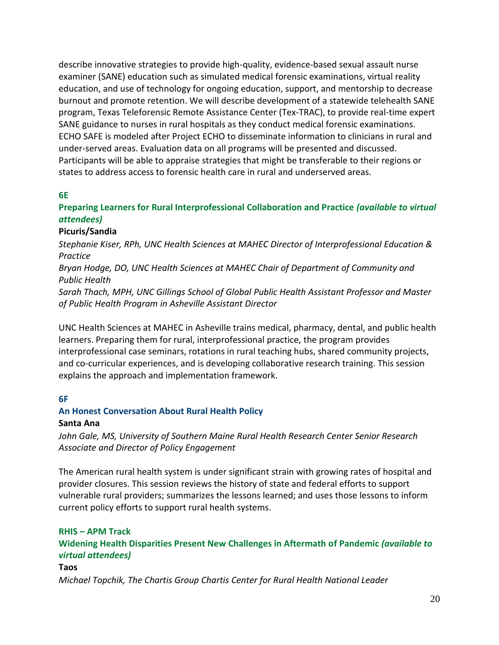describe innovative strategies to provide high-quality, evidence-based sexual assault nurse examiner (SANE) education such as simulated medical forensic examinations, virtual reality education, and use of technology for ongoing education, support, and mentorship to decrease burnout and promote retention. We will describe development of a statewide telehealth SANE program, Texas Teleforensic Remote Assistance Center (Tex-TRAC), to provide real-time expert SANE guidance to nurses in rural hospitals as they conduct medical forensic examinations. ECHO SAFE is modeled after Project ECHO to disseminate information to clinicians in rural and under-served areas. Evaluation data on all programs will be presented and discussed. Participants will be able to appraise strategies that might be transferable to their regions or states to address access to forensic health care in rural and underserved areas.

#### **6E**

#### **Preparing Learners for Rural Interprofessional Collaboration and Practice** *(available to virtual attendees)*

#### **Picuris/Sandia**

*Stephanie Kiser, RPh, UNC Health Sciences at MAHEC Director of Interprofessional Education & Practice*

*Bryan Hodge, DO, UNC Health Sciences at MAHEC Chair of Department of Community and Public Health*

*Sarah Thach, MPH, UNC Gillings School of Global Public Health Assistant Professor and Master of Public Health Program in Asheville Assistant Director*

UNC Health Sciences at MAHEC in Asheville trains medical, pharmacy, dental, and public health learners. Preparing them for rural, interprofessional practice, the program provides interprofessional case seminars, rotations in rural teaching hubs, shared community projects, and co-curricular experiences, and is developing collaborative research training. This session explains the approach and implementation framework.

#### **6F**

#### **An Honest Conversation About Rural Health Policy**

#### **Santa Ana**

*John Gale, MS, University of Southern Maine Rural Health Research Center Senior Research Associate and Director of Policy Engagement* 

The American rural health system is under significant strain with growing rates of hospital and provider closures. This session reviews the history of state and federal efforts to support vulnerable rural providers; summarizes the lessons learned; and uses those lessons to inform current policy efforts to support rural health systems.

#### **RHIS – APM Track**

**Widening Health Disparities Present New Challenges in Aftermath of Pandemic** *(available to virtual attendees)*

#### **Taos**

*Michael Topchik, The Chartis Group Chartis Center for Rural Health National Leader*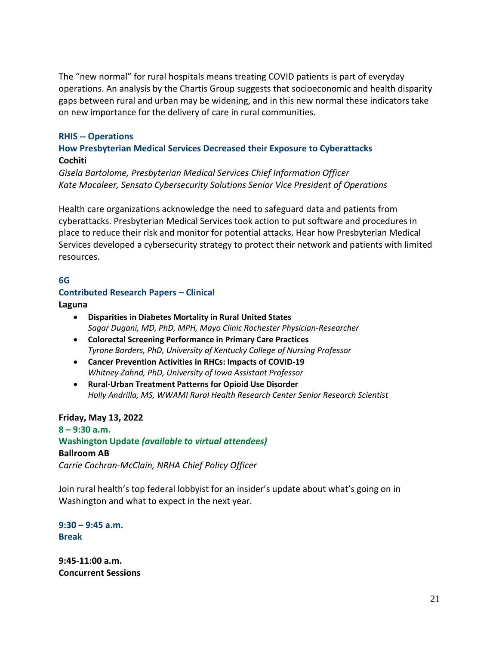The "new normal" for rural hospitals means treating COVID patients is part of everyday operations. An analysis by the Chartis Group suggests that socioeconomic and health disparity gaps between rural and urban may be widening, and in this new normal these indicators take on new importance for the delivery of care in rural communities.

#### **RHIS -- Operations**

#### **How Presbyterian Medical Services Decreased their Exposure to Cyberattacks Cochiti**

*Gisela Bartolome, Presbyterian Medical Services Chief Information Officer Kate Macaleer, Sensato Cybersecurity Solutions Senior Vice President of Operations*

Health care organizations acknowledge the need to safeguard data and patients from cyberattacks. Presbyterian Medical Services took action to put software and procedures in place to reduce their risk and monitor for potential attacks. Hear how Presbyterian Medical Services developed a cybersecurity strategy to protect their network and patients with limited resources.

#### **6G**

#### **Contributed Research Papers – Clinical**

**Laguna**

- **Disparities in Diabetes Mortality in Rural United States** *Sagar Dugani, MD, PhD, MPH, Mayo Clinic Rochester Physician-Researcher*
- **Colorectal Screening Performance in Primary Care Practices** *Tyrone Borders, PhD, University of Kentucky College of Nursing Professor*
- **Cancer Prevention Activities in RHCs: Impacts of COVID-19** *Whitney Zahnd, PhD, University of Iowa Assistant Professor*
- **Rural-Urban Treatment Patterns for Opioid Use Disorder** *Holly Andrilla, MS, WWAMI Rural Health Research Center Senior Research Scientist*

#### **Friday, May 13, 2022**

**8 – 9:30 a.m. Washington Update** *(available to virtual attendees)* **Ballroom AB** *Carrie Cochran-McClain, NRHA Chief Policy Officer* 

Join rural health's top federal lobbyist for an insider's update about what's going on in Washington and what to expect in the next year.

**9:30 – 9:45 a.m. Break**

**9:45-11:00 a.m. Concurrent Sessions**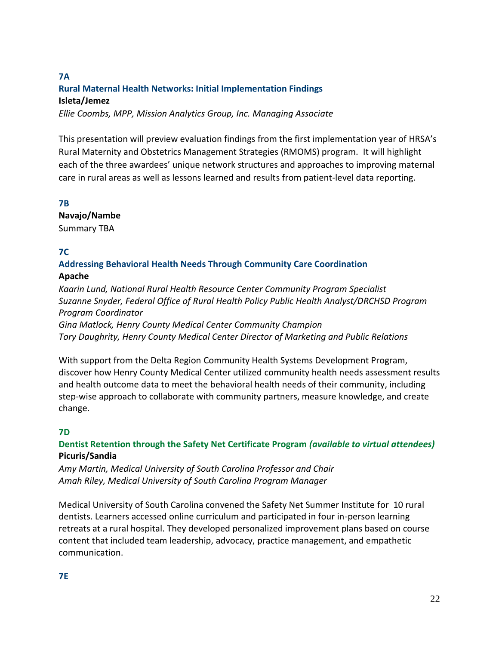#### **7A Rural Maternal Health Networks: Initial Implementation Findings Isleta/Jemez**

*Ellie Coombs, MPP, Mission Analytics Group, Inc. Managing Associate* 

This presentation will preview evaluation findings from the first implementation year of HRSA's Rural Maternity and Obstetrics Management Strategies (RMOMS) program. It will highlight each of the three awardees' unique network structures and approaches to improving maternal care in rural areas as well as lessons learned and results from patient-level data reporting.

#### **7B**

**Navajo/Nambe**

Summary TBA

#### **7C**

#### **Addressing Behavioral Health Needs Through Community Care Coordination Apache**

*Kaarin Lund, National Rural Health Resource Center Community Program Specialist Suzanne Snyder, Federal Office of Rural Health Policy Public Health Analyst/DRCHSD Program Program Coordinator Gina Matlock, Henry County Medical Center Community Champion Tory Daughrity, Henry County Medical Center Director of Marketing and Public Relations*

With support from the Delta Region Community Health Systems Development Program, discover how Henry County Medical Center utilized community health needs assessment results and health outcome data to meet the behavioral health needs of their community, including step-wise approach to collaborate with community partners, measure knowledge, and create

#### **7D**

change.

#### **Dentist Retention through the Safety Net Certificate Program** *(available to virtual attendees)* **Picuris/Sandia**

*Amy Martin, Medical University of South Carolina Professor and Chair Amah Riley, Medical University of South Carolina Program Manager*

Medical University of South Carolina convened the Safety Net Summer Institute for 10 rural dentists. Learners accessed online curriculum and participated in four in-person learning retreats at a rural hospital. They developed personalized improvement plans based on course content that included team leadership, advocacy, practice management, and empathetic communication.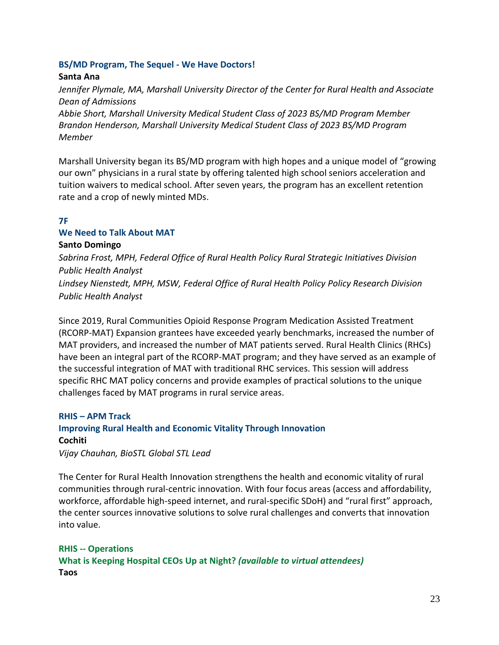#### **BS/MD Program, The Sequel - We Have Doctors!**

#### **Santa Ana**

*Jennifer Plymale, MA, Marshall University Director of the Center for Rural Health and Associate Dean of Admissions*

*Abbie Short, Marshall University Medical Student Class of 2023 BS/MD Program Member Brandon Henderson, Marshall University Medical Student Class of 2023 BS/MD Program Member*

Marshall University began its BS/MD program with high hopes and a unique model of "growing our own" physicians in a rural state by offering talented high school seniors acceleration and tuition waivers to medical school. After seven years, the program has an excellent retention rate and a crop of newly minted MDs.

#### **7F**

#### **We Need to Talk About MAT**

#### **Santo Domingo**

*Sabrina Frost, MPH, Federal Office of Rural Health Policy Rural Strategic Initiatives Division Public Health Analyst Lindsey Nienstedt, MPH, MSW, Federal Office of Rural Health Policy Policy Research Division Public Health Analyst* 

Since 2019, Rural Communities Opioid Response Program Medication Assisted Treatment (RCORP-MAT) Expansion grantees have exceeded yearly benchmarks, increased the number of MAT providers, and increased the number of MAT patients served. Rural Health Clinics (RHCs) have been an integral part of the RCORP-MAT program; and they have served as an example of the successful integration of MAT with traditional RHC services. This session will address specific RHC MAT policy concerns and provide examples of practical solutions to the unique challenges faced by MAT programs in rural service areas.

## **RHIS – APM Track Improving Rural Health and Economic Vitality Through Innovation Cochiti**

*Vijay Chauhan, BioSTL Global STL Lead*

The Center for Rural Health Innovation strengthens the health and economic vitality of rural communities through rural-centric innovation. With four focus areas (access and affordability, workforce, affordable high-speed internet, and rural-specific SDoH) and "rural first" approach, the center sources innovative solutions to solve rural challenges and converts that innovation into value.

**RHIS -- Operations What is Keeping Hospital CEOs Up at Night?** *(available to virtual attendees)* **Taos**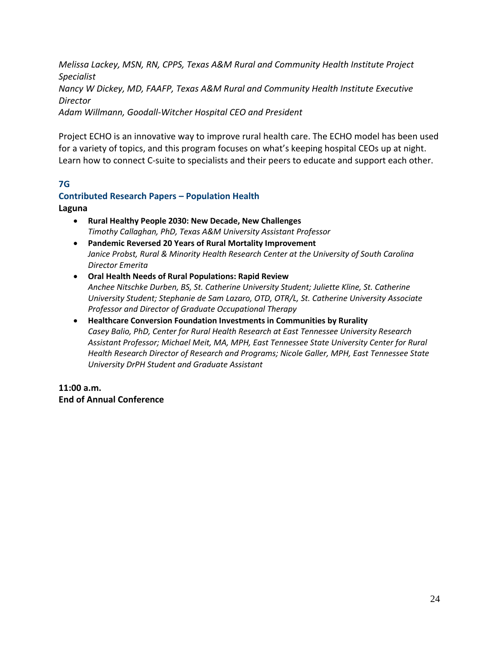*Melissa Lackey, MSN, RN, CPPS, Texas A&M Rural and Community Health Institute Project Specialist Nancy W Dickey, MD, FAAFP, Texas A&M Rural and Community Health Institute Executive Director Adam Willmann, Goodall-Witcher Hospital CEO and President* 

Project ECHO is an innovative way to improve rural health care. The ECHO model has been used for a variety of topics, and this program focuses on what's keeping hospital CEOs up at night. Learn how to connect C-suite to specialists and their peers to educate and support each other.

#### **7G**

## **Contributed Research Papers – Population Health**

**Laguna**

- **Rural Healthy People 2030: New Decade, New Challenges**  *Timothy Callaghan, PhD, Texas A&M University Assistant Professor*
- **Pandemic Reversed 20 Years of Rural Mortality Improvement**  *Janice Probst, Rural & Minority Health Research Center at the University of South Carolina Director Emerita*
- **Oral Health Needs of Rural Populations: Rapid Review**  *Anchee Nitschke Durben, BS, St. Catherine University Student; Juliette Kline, St. Catherine University Student; Stephanie de Sam Lazaro, OTD, OTR/L, St. Catherine University Associate Professor and Director of Graduate Occupational Therapy*
- **Healthcare Conversion Foundation Investments in Communities by Rurality**  *Casey Balio, PhD, Center for Rural Health Research at East Tennessee University Research Assistant Professor; Michael Meit, MA, MPH, East Tennessee State University Center for Rural Health Research Director of Research and Programs; Nicole Galler, MPH, East Tennessee State University DrPH Student and Graduate Assistant*

**11:00 a.m. End of Annual Conference**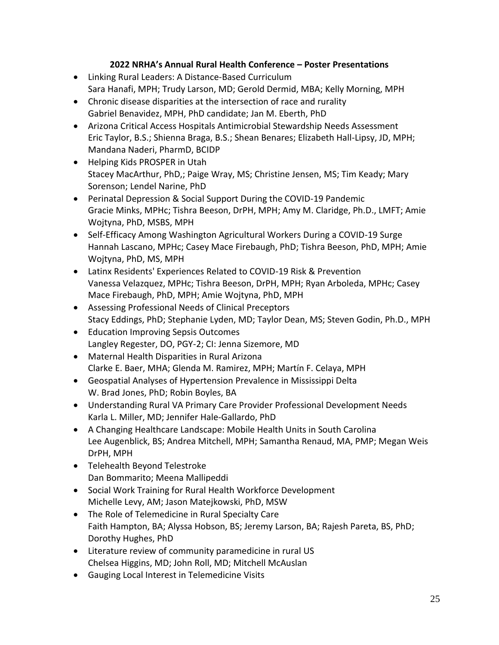#### **2022 NRHA's Annual Rural Health Conference – Poster Presentations**

- Linking Rural Leaders: A Distance-Based Curriculum Sara Hanafi, MPH; Trudy Larson, MD; Gerold Dermid, MBA; Kelly Morning, MPH
- Chronic disease disparities at the intersection of race and rurality Gabriel Benavidez, MPH, PhD candidate; Jan M. Eberth, PhD
- Arizona Critical Access Hospitals Antimicrobial Stewardship Needs Assessment Eric Taylor, B.S.; Shienna Braga, B.S.; Shean Benares; Elizabeth Hall-Lipsy, JD, MPH; Mandana Naderi, PharmD, BCIDP
- Helping Kids PROSPER in Utah Stacey MacArthur, PhD,; Paige Wray, MS; Christine Jensen, MS; Tim Keady; Mary Sorenson; Lendel Narine, PhD
- Perinatal Depression & Social Support During the COVID-19 Pandemic Gracie Minks, MPHc; Tishra Beeson, DrPH, MPH; Amy M. Claridge, Ph.D., LMFT; Amie Wojtyna, PhD, MSBS, MPH
- Self-Efficacy Among Washington Agricultural Workers During a COVID-19 Surge Hannah Lascano, MPHc; Casey Mace Firebaugh, PhD; Tishra Beeson, PhD, MPH; Amie Wojtyna, PhD, MS, MPH
- Latinx Residents' Experiences Related to COVID-19 Risk & Prevention Vanessa Velazquez, MPHc; Tishra Beeson, DrPH, MPH; Ryan Arboleda, MPHc; Casey Mace Firebaugh, PhD, MPH; Amie Wojtyna, PhD, MPH
- Assessing Professional Needs of Clinical Preceptors Stacy Eddings, PhD; Stephanie Lyden, MD; Taylor Dean, MS; Steven Godin, Ph.D., MPH
- Education Improving Sepsis Outcomes Langley Regester, DO, PGY-2; CI: Jenna Sizemore, MD
- Maternal Health Disparities in Rural Arizona Clarke E. Baer, MHA; Glenda M. Ramirez, MPH; Martín F. Celaya, MPH
- Geospatial Analyses of Hypertension Prevalence in Mississippi Delta W. Brad Jones, PhD; Robin Boyles, BA
- Understanding Rural VA Primary Care Provider Professional Development Needs Karla L. Miller, MD; Jennifer Hale-Gallardo, PhD
- A Changing Healthcare Landscape: Mobile Health Units in South Carolina Lee Augenblick, BS; Andrea Mitchell, MPH; Samantha Renaud, MA, PMP; Megan Weis DrPH, MPH
- Telehealth Beyond Telestroke Dan Bommarito; Meena Mallipeddi
- Social Work Training for Rural Health Workforce Development Michelle Levy, AM; Jason Matejkowski, PhD, MSW
- The Role of Telemedicine in Rural Specialty Care Faith Hampton, BA; Alyssa Hobson, BS; Jeremy Larson, BA; Rajesh Pareta, BS, PhD; Dorothy Hughes, PhD
- Literature review of community paramedicine in rural US Chelsea Higgins, MD; John Roll, MD; Mitchell McAuslan
- Gauging Local Interest in Telemedicine Visits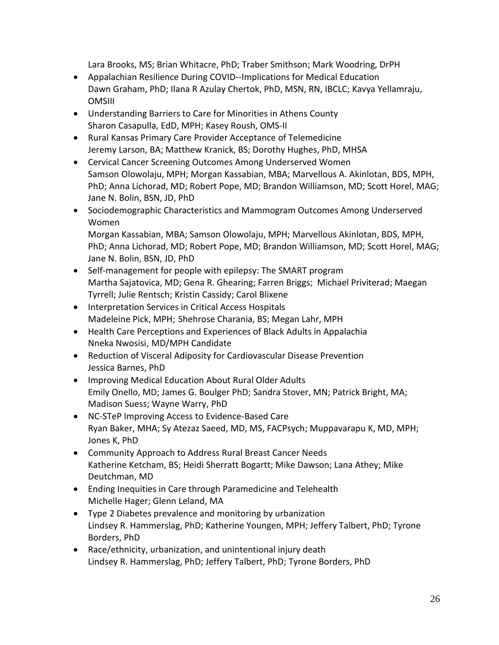Lara Brooks, MS; Brian Whitacre, PhD; Traber Smithson; Mark Woodring, DrPH

- Appalachian Resilience During COVID--Implications for Medical Education Dawn Graham, PhD; Ilana R Azulay Chertok, PhD, MSN, RN, IBCLC; Kavya Yellamraju, OMSIII
- Understanding Barriers to Care for Minorities in Athens County Sharon Casapulla, EdD, MPH; Kasey Roush, OMS-II
- Rural Kansas Primary Care Provider Acceptance of Telemedicine Jeremy Larson, BA; Matthew Kranick, BS; Dorothy Hughes, PhD, MHSA
- Cervical Cancer Screening Outcomes Among Underserved Women Samson Olowolaju, MPH; Morgan Kassabian, MBA; Marvellous A. Akinlotan, BDS, MPH, PhD; Anna Lichorad, MD; Robert Pope, MD; Brandon Williamson, MD; Scott Horel, MAG; Jane N. Bolin, BSN, JD, PhD
- Sociodemographic Characteristics and Mammogram Outcomes Among Underserved Women

Morgan Kassabian, MBA; Samson Olowolaju, MPH; Marvellous Akinlotan, BDS, MPH, PhD; Anna Lichorad, MD; Robert Pope, MD; Brandon Williamson, MD; Scott Horel, MAG; Jane N. Bolin, BSN, JD, PhD

- Self-management for people with epilepsy: The SMART program Martha Sajatovica, MD; Gena R. Ghearing; Farren Briggs; Michael Priviterad; Maegan Tyrrell; Julie Rentsch; Kristin Cassidy; Carol Blixene
- Interpretation Services in Critical Access Hospitals Madeleine Pick, MPH; Shehrose Charania, BS; Megan Lahr, MPH
- Health Care Perceptions and Experiences of Black Adults in Appalachia Nneka Nwosisi, MD/MPH Candidate
- Reduction of Visceral Adiposity for Cardiovascular Disease Prevention Jessica Barnes, PhD
- Improving Medical Education About Rural Older Adults Emily Onello, MD; James G. Boulger PhD; Sandra Stover, MN; Patrick Bright, MA; Madison Suess; Wayne Warry, PhD
- NC-STeP Improving Access to Evidence-Based Care Ryan Baker, MHA; Sy Atezaz Saeed, MD, MS, FACPsych; Muppavarapu K, MD, MPH; Jones K, PhD
- Community Approach to Address Rural Breast Cancer Needs Katherine Ketcham, BS; Heidi Sherratt Bogartt; Mike Dawson; Lana Athey; Mike Deutchman, MD
- Ending Inequities in Care through Paramedicine and Telehealth Michelle Hager; Glenn Leland, MA
- Type 2 Diabetes prevalence and monitoring by urbanization Lindsey R. Hammerslag, PhD; Katherine Youngen, MPH; Jeffery Talbert, PhD; Tyrone Borders, PhD
- Race/ethnicity, urbanization, and unintentional injury death Lindsey R. Hammerslag, PhD; Jeffery Talbert, PhD; Tyrone Borders, PhD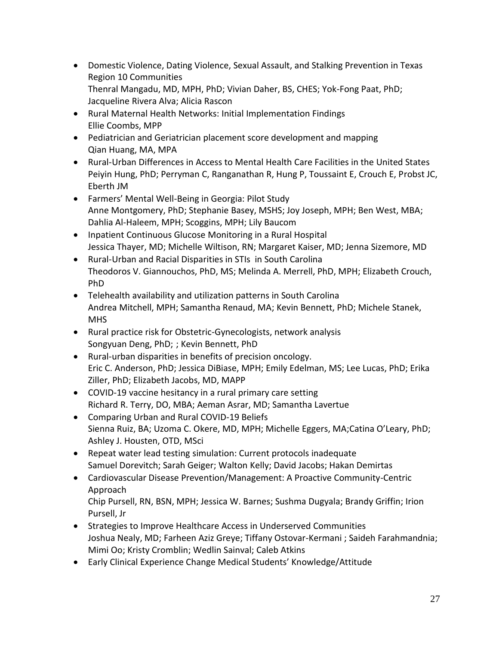- Domestic Violence, Dating Violence, Sexual Assault, and Stalking Prevention in Texas Region 10 Communities Thenral Mangadu, MD, MPH, PhD; Vivian Daher, BS, CHES; Yok-Fong Paat, PhD; Jacqueline Rivera Alva; Alicia Rascon
- Rural Maternal Health Networks: Initial Implementation Findings Ellie Coombs, MPP
- Pediatrician and Geriatrician placement score development and mapping Qian Huang, MA, MPA
- Rural-Urban Differences in Access to Mental Health Care Facilities in the United States Peiyin Hung, PhD; Perryman C, Ranganathan R, Hung P, Toussaint E, Crouch E, Probst JC, Eberth JM
- Farmers' Mental Well-Being in Georgia: Pilot Study Anne Montgomery, PhD; Stephanie Basey, MSHS; Joy Joseph, MPH; Ben West, MBA; Dahlia Al-Haleem, MPH; Scoggins, MPH; Lily Baucom
- Inpatient Continuous Glucose Monitoring in a Rural Hospital Jessica Thayer, MD; Michelle Wiltison, RN; Margaret Kaiser, MD; Jenna Sizemore, MD
- Rural-Urban and Racial Disparities in STIs in South Carolina Theodoros V. Giannouchos, PhD, MS; Melinda A. Merrell, PhD, MPH; Elizabeth Crouch, PhD
- Telehealth availability and utilization patterns in South Carolina Andrea Mitchell, MPH; Samantha Renaud, MA; Kevin Bennett, PhD; Michele Stanek, **MHS**
- Rural practice risk for Obstetric-Gynecologists, network analysis Songyuan Deng, PhD; ; Kevin Bennett, PhD
- Rural-urban disparities in benefits of precision oncology. Eric C. Anderson, PhD; Jessica DiBiase, MPH; Emily Edelman, MS; Lee Lucas, PhD; Erika Ziller, PhD; Elizabeth Jacobs, MD, MAPP
- COVID-19 vaccine hesitancy in a rural primary care setting Richard R. Terry, DO, MBA; Aeman Asrar, MD; Samantha Lavertue
- Comparing Urban and Rural COVID-19 Beliefs Sienna Ruiz, BA; Uzoma C. Okere, MD, MPH; Michelle Eggers, MA;Catina O'Leary, PhD; Ashley J. Housten, OTD, MSci
- Repeat water lead testing simulation: Current protocols inadequate Samuel Dorevitch; Sarah Geiger; Walton Kelly; David Jacobs; Hakan Demirtas
- Cardiovascular Disease Prevention/Management: A Proactive Community-Centric Approach

Chip Pursell, RN, BSN, MPH; Jessica W. Barnes; Sushma Dugyala; Brandy Griffin; Irion Pursell, Jr

- Strategies to Improve Healthcare Access in Underserved Communities Joshua Nealy, MD; Farheen Aziz Greye; Tiffany Ostovar-Kermani ; Saideh Farahmandnia; Mimi Oo; Kristy Cromblin; Wedlin Sainval; Caleb Atkins
- Early Clinical Experience Change Medical Students' Knowledge/Attitude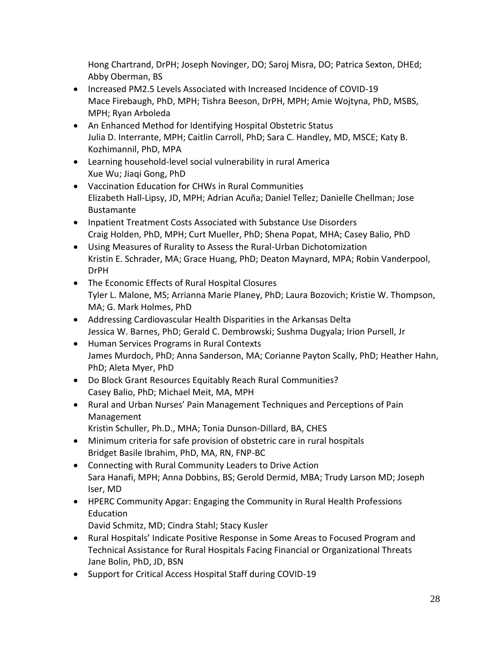Hong Chartrand, DrPH; Joseph Novinger, DO; Saroj Misra, DO; Patrica Sexton, DHEd; Abby Oberman, BS

- Increased PM2.5 Levels Associated with Increased Incidence of COVID-19 Mace Firebaugh, PhD, MPH; Tishra Beeson, DrPH, MPH; Amie Wojtyna, PhD, MSBS, MPH; Ryan Arboleda
- An Enhanced Method for Identifying Hospital Obstetric Status Julia D. Interrante, MPH; Caitlin Carroll, PhD; Sara C. Handley, MD, MSCE; Katy B. Kozhimannil, PhD, MPA
- Learning household-level social vulnerability in rural America Xue Wu; Jiaqi Gong, PhD
- Vaccination Education for CHWs in Rural Communities Elizabeth Hall-Lipsy, JD, MPH; Adrian Acuña; Daniel Tellez; Danielle Chellman; Jose Bustamante
- Inpatient Treatment Costs Associated with Substance Use Disorders Craig Holden, PhD, MPH; Curt Mueller, PhD; Shena Popat, MHA; Casey Balio, PhD
- Using Measures of Rurality to Assess the Rural-Urban Dichotomization Kristin E. Schrader, MA; Grace Huang, PhD; Deaton Maynard, MPA; Robin Vanderpool, DrPH
- The Economic Effects of Rural Hospital Closures Tyler L. Malone, MS; Arrianna Marie Planey, PhD; Laura Bozovich; Kristie W. Thompson, MA; G. Mark Holmes, PhD
- Addressing Cardiovascular Health Disparities in the Arkansas Delta Jessica W. Barnes, PhD; Gerald C. Dembrowski; Sushma Dugyala; Irion Pursell, Jr
- Human Services Programs in Rural Contexts James Murdoch, PhD; Anna Sanderson, MA; Corianne Payton Scally, PhD; Heather Hahn, PhD; Aleta Myer, PhD
- Do Block Grant Resources Equitably Reach Rural Communities? Casey Balio, PhD; Michael Meit, MA, MPH
- Rural and Urban Nurses' Pain Management Techniques and Perceptions of Pain Management
	- Kristin Schuller, Ph.D., MHA; Tonia Dunson-Dillard, BA, CHES
- Minimum criteria for safe provision of obstetric care in rural hospitals Bridget Basile Ibrahim, PhD, MA, RN, FNP-BC
- Connecting with Rural Community Leaders to Drive Action Sara Hanafi, MPH; Anna Dobbins, BS; Gerold Dermid, MBA; Trudy Larson MD; Joseph Iser, MD
- HPERC Community Apgar: Engaging the Community in Rural Health Professions Education
	- David Schmitz, MD; Cindra Stahl; Stacy Kusler
- Rural Hospitals' Indicate Positive Response in Some Areas to Focused Program and Technical Assistance for Rural Hospitals Facing Financial or Organizational Threats Jane Bolin, PhD, JD, BSN
- Support for Critical Access Hospital Staff during COVID-19